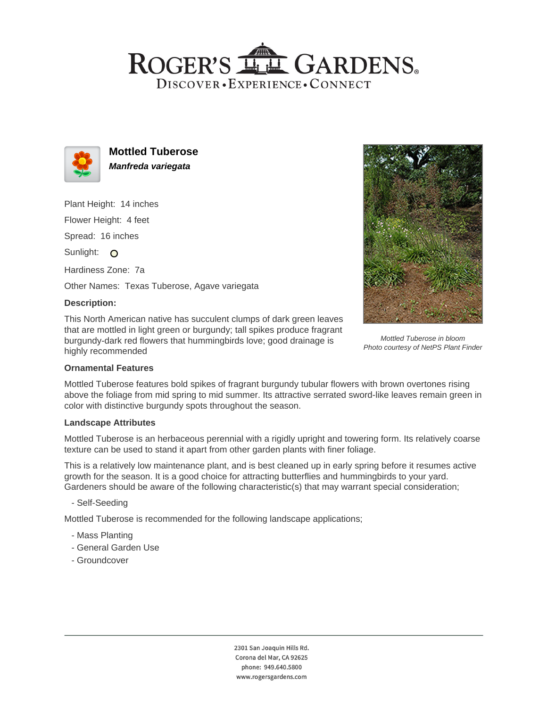# ROGER'S LLE GARDENS. DISCOVER · EXPERIENCE · CONNECT



**Mottled Tuberose Manfreda variegata**

Plant Height: 14 inches

Flower Height: 4 feet

Spread: 16 inches

Sunlight: O

Hardiness Zone: 7a

Other Names: Texas Tuberose, Agave variegata

### **Description:**

This North American native has succulent clumps of dark green leaves that are mottled in light green or burgundy; tall spikes produce fragrant burgundy-dark red flowers that hummingbirds love; good drainage is highly recommended



Mottled Tuberose in bloom Photo courtesy of NetPS Plant Finder

#### **Ornamental Features**

Mottled Tuberose features bold spikes of fragrant burgundy tubular flowers with brown overtones rising above the foliage from mid spring to mid summer. Its attractive serrated sword-like leaves remain green in color with distinctive burgundy spots throughout the season.

#### **Landscape Attributes**

Mottled Tuberose is an herbaceous perennial with a rigidly upright and towering form. Its relatively coarse texture can be used to stand it apart from other garden plants with finer foliage.

This is a relatively low maintenance plant, and is best cleaned up in early spring before it resumes active growth for the season. It is a good choice for attracting butterflies and hummingbirds to your yard. Gardeners should be aware of the following characteristic(s) that may warrant special consideration;

- Self-Seeding

Mottled Tuberose is recommended for the following landscape applications;

- Mass Planting
- General Garden Use
- Groundcover

2301 San Joaquin Hills Rd. Corona del Mar, CA 92625 phone: 949.640.5800 www.rogersgardens.com